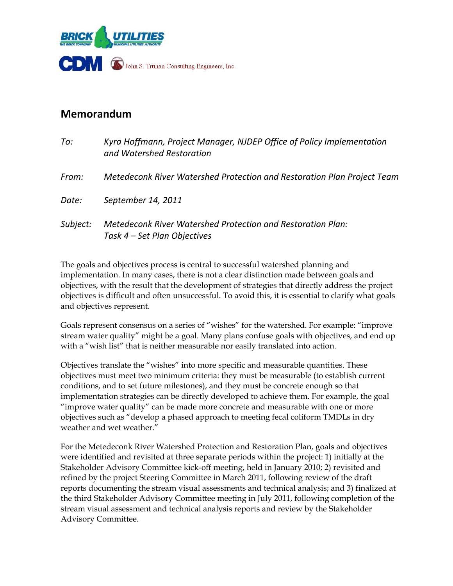

## **Memorandum**

| To:      | Kyra Hoffmann, Project Manager, NJDEP Office of Policy Implementation<br>and Watershed Restoration |  |
|----------|----------------------------------------------------------------------------------------------------|--|
| From:    | Metedeconk River Watershed Protection and Restoration Plan Project Team                            |  |
| Date:    | September 14, 2011                                                                                 |  |
| Subject: | Metedeconk River Watershed Protection and Restoration Plan:<br>Task 4 – Set Plan Objectives        |  |

The goals and objectives process is central to successful watershed planning and implementation. In many cases, there is not a clear distinction made between goals and objectives, with the result that the development of strategies that directly address the project objectives is difficult and often unsuccessful. To avoid this, it is essential to clarify what goals and objectives represent.

Goals represent consensus on a series of "wishes" for the watershed. For example: "improve stream water quality" might be a goal. Many plans confuse goals with objectives, and end up with a "wish list" that is neither measurable nor easily translated into action.

Objectives translate the "wishes" into more specific and measurable quantities. These objectives must meet two minimum criteria: they must be measurable (to establish current conditions, and to set future milestones), and they must be concrete enough so that implementation strategies can be directly developed to achieve them. For example, the goal "improve water quality" can be made more concrete and measurable with one or more objectives such as "develop a phased approach to meeting fecal coliform TMDLs in dry weather and wet weather."

For the Metedeconk River Watershed Protection and Restoration Plan, goals and objectives were identified and revisited at three separate periods within the project: 1) initially at the Stakeholder Advisory Committee kick-off meeting, held in January 2010; 2) revisited and refined by the project Steering Committee in March 2011, following review of the draft reports documenting the stream visual assessments and technical analysis; and 3) finalized at the third Stakeholder Advisory Committee meeting in July 2011, following completion of the stream visual assessment and technical analysis reports and review by the Stakeholder Advisory Committee.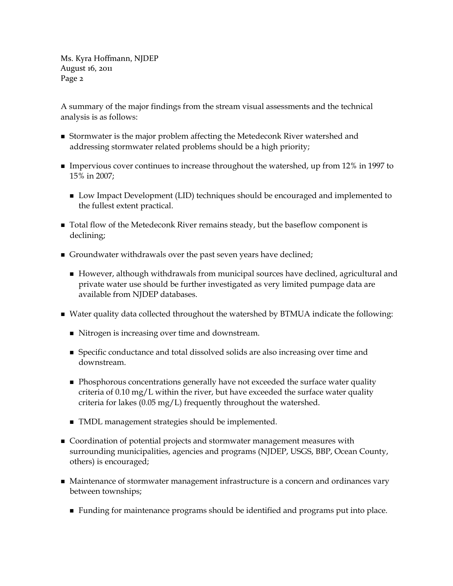Ms. Kyra Hoffmann, NJDEP August 16, 2011 Page 2

A summary of the major findings from the stream visual assessments and the technical analysis is as follows:

- **Stormwater is the major problem affecting the Metedeconk River watershed and** addressing stormwater related problems should be a high priority;
- Impervious cover continues to increase throughout the watershed, up from 12% in 1997 to 15% in 2007;
	- **Low Impact Development (LID) techniques should be encouraged and implemented to** the fullest extent practical.
- **T** Total flow of the Metedeconk River remains steady, but the baseflow component is declining;
- Groundwater withdrawals over the past seven years have declined;
	- However, although withdrawals from municipal sources have declined, agricultural and private water use should be further investigated as very limited pumpage data are available from NJDEP databases.
- Water quality data collected throughout the watershed by BTMUA indicate the following:
	- Nitrogen is increasing over time and downstream.
	- Specific conductance and total dissolved solids are also increasing over time and downstream.
	- **Phosphorous concentrations generally have not exceeded the surface water quality** criteria of  $0.10 \text{ mg/L}$  within the river, but have exceeded the surface water quality criteria for lakes (0.05 mg/L) frequently throughout the watershed.
	- TMDL management strategies should be implemented.
- Coordination of potential projects and stormwater management measures with surrounding municipalities, agencies and programs (NJDEP, USGS, BBP, Ocean County, others) is encouraged;
- Maintenance of stormwater management infrastructure is a concern and ordinances vary between townships;
	- Funding for maintenance programs should be identified and programs put into place.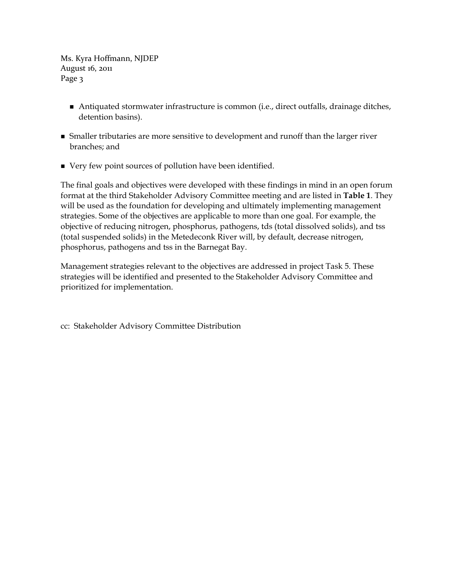Ms. Kyra Hoffmann, NJDEP August 16, 2011 Page 3

- Antiquated stormwater infrastructure is common (i.e., direct outfalls, drainage ditches, detention basins).
- Smaller tributaries are more sensitive to development and runoff than the larger river branches; and
- Very few point sources of pollution have been identified.

The final goals and objectives were developed with these findings in mind in an open forum format at the third Stakeholder Advisory Committee meeting and are listed in **Table 1**. They will be used as the foundation for developing and ultimately implementing management strategies. Some of the objectives are applicable to more than one goal. For example, the objective of reducing nitrogen, phosphorus, pathogens, tds (total dissolved solids), and tss (total suspended solids) in the Metedeconk River will, by default, decrease nitrogen, phosphorus, pathogens and tss in the Barnegat Bay.

Management strategies relevant to the objectives are addressed in project Task 5. These strategies will be identified and presented to the Stakeholder Advisory Committee and prioritized for implementation.

cc: Stakeholder Advisory Committee Distribution